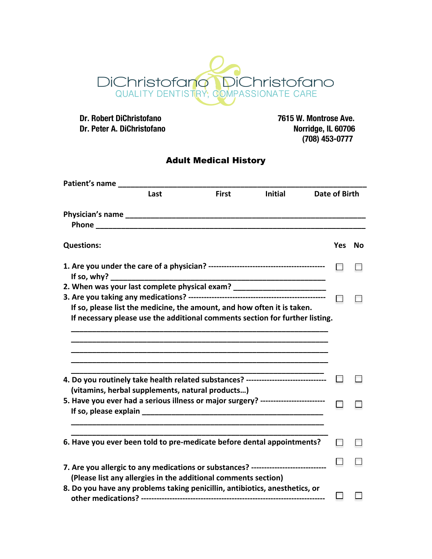

 **Dr. Robert DiChristofano 7615 W. Montrose Ave. Dr. Peter A. DiChristofano** 

 **(708) 453-0777**

## Adult Medical History

| Patient's name __ |                                                                                                                                                         |              |                |               |    |
|-------------------|---------------------------------------------------------------------------------------------------------------------------------------------------------|--------------|----------------|---------------|----|
|                   | Last                                                                                                                                                    | <b>First</b> | <b>Initial</b> | Date of Birth |    |
|                   | <b>Phone <i>Phone Phone</i></b>                                                                                                                         |              |                |               |    |
|                   |                                                                                                                                                         |              |                |               |    |
| <b>Questions:</b> |                                                                                                                                                         |              |                | <b>Yes</b>    | No |
|                   |                                                                                                                                                         |              |                |               |    |
|                   | 2. When was your last complete physical exam? __________________________________                                                                        |              |                |               |    |
|                   |                                                                                                                                                         |              |                |               |    |
|                   | If so, please list the medicine, the amount, and how often it is taken.<br>If necessary please use the additional comments section for further listing. |              |                |               |    |
|                   |                                                                                                                                                         |              |                |               |    |
|                   |                                                                                                                                                         |              |                |               |    |
|                   | 4. Do you routinely take health related substances? -----------------------------                                                                       |              |                |               |    |
|                   | (vitamins, herbal supplements, natural products)                                                                                                        |              |                |               |    |
|                   | 5. Have you ever had a serious illness or major surgery? ------------------------                                                                       |              |                |               |    |
|                   |                                                                                                                                                         |              |                |               |    |
|                   | 6. Have you ever been told to pre-medicate before dental appointments?                                                                                  |              |                |               |    |
|                   |                                                                                                                                                         |              |                |               |    |
|                   | 7. Are you allergic to any medications or substances? --------------------------                                                                        |              |                |               |    |
|                   | (Please list any allergies in the additional comments section)                                                                                          |              |                |               |    |
|                   | 8. Do you have any problems taking penicillin, antibiotics, anesthetics, or                                                                             |              |                |               |    |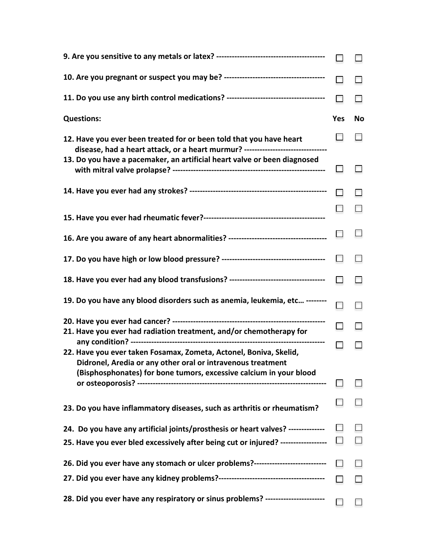| 11. Do you use any birth control medications? -----------------------------------                                                                                                                      |            |    |
|--------------------------------------------------------------------------------------------------------------------------------------------------------------------------------------------------------|------------|----|
| <b>Questions:</b>                                                                                                                                                                                      | <b>Yes</b> | Νo |
| 12. Have you ever been treated for or been told that you have heart<br>disease, had a heart attack, or a heart murmur? --------------------------------                                                |            |    |
| 13. Do you have a pacemaker, an artificial heart valve or been diagnosed                                                                                                                               |            |    |
|                                                                                                                                                                                                        |            |    |
|                                                                                                                                                                                                        |            |    |
| 16. Are you aware of any heart abnormalities? -----------------------------------                                                                                                                      |            |    |
|                                                                                                                                                                                                        | $\Box$     |    |
| 18. Have you ever had any blood transfusions? ----------------------------------                                                                                                                       | п          |    |
| 19. Do you have any blood disorders such as anemia, leukemia, etc --------                                                                                                                             |            |    |
| 21. Have you ever had radiation treatment, and/or chemotherapy for                                                                                                                                     |            |    |
| 22. Have you ever taken Fosamax, Zometa, Actonel, Boniva, Skelid,<br>Didronel, Aredia or any other oral or intravenous treatment<br>(Bisphosphonates) for bone tumors, excessive calcium in your blood |            |    |
|                                                                                                                                                                                                        |            |    |
| 23. Do you have inflammatory diseases, such as arthritis or rheumatism?                                                                                                                                |            |    |
| 24. Do you have any artificial joints/prosthesis or heart valves? --------------                                                                                                                       |            |    |
| 25. Have you ever bled excessively after being cut or injured? -----------------                                                                                                                       |            |    |
| 26. Did you ever have any stomach or ulcer problems?----------------------------                                                                                                                       |            |    |
|                                                                                                                                                                                                        |            |    |
| 28. Did you ever have any respiratory or sinus problems? -----------------------                                                                                                                       |            |    |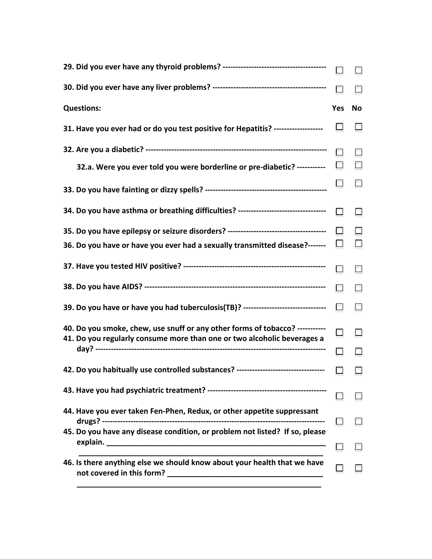| <b>Questions:</b>                                                                                                                                      | Yes    | No     |
|--------------------------------------------------------------------------------------------------------------------------------------------------------|--------|--------|
| 31. Have you ever had or do you test positive for Hepatitis? -------------------                                                                       |        |        |
|                                                                                                                                                        |        |        |
| 32.a. Were you ever told you were borderline or pre-diabetic? -----------                                                                              |        |        |
|                                                                                                                                                        |        |        |
| 34. Do you have asthma or breathing difficulties? --------------------------------                                                                     | п      | $\Box$ |
| 35. Do you have epilepsy or seizure disorders? -----------------------------------                                                                     | $\Box$ |        |
| 36. Do you have or have you ever had a sexually transmitted disease?-------                                                                            |        |        |
|                                                                                                                                                        |        |        |
|                                                                                                                                                        | П.     |        |
| 39. Do you have or have you had tuberculosis(TB)? ------------------------------                                                                       | $\Box$ | $\Box$ |
| 40. Do you smoke, chew, use snuff or any other forms of tobacco? ----------<br>41. Do you regularly consume more than one or two alcoholic beverages a |        |        |
|                                                                                                                                                        | П      |        |
| 42. Do you habitually use controlled substances? --------------------------------                                                                      | п      |        |
|                                                                                                                                                        |        |        |
| 44. Have you ever taken Fen-Phen, Redux, or other appetite suppressant                                                                                 |        |        |
| 45. Do you have any disease condition, or problem not listed? If so, please                                                                            |        |        |
| 46. Is there anything else we should know about your health that we have                                                                               |        |        |
|                                                                                                                                                        |        |        |
|                                                                                                                                                        |        |        |